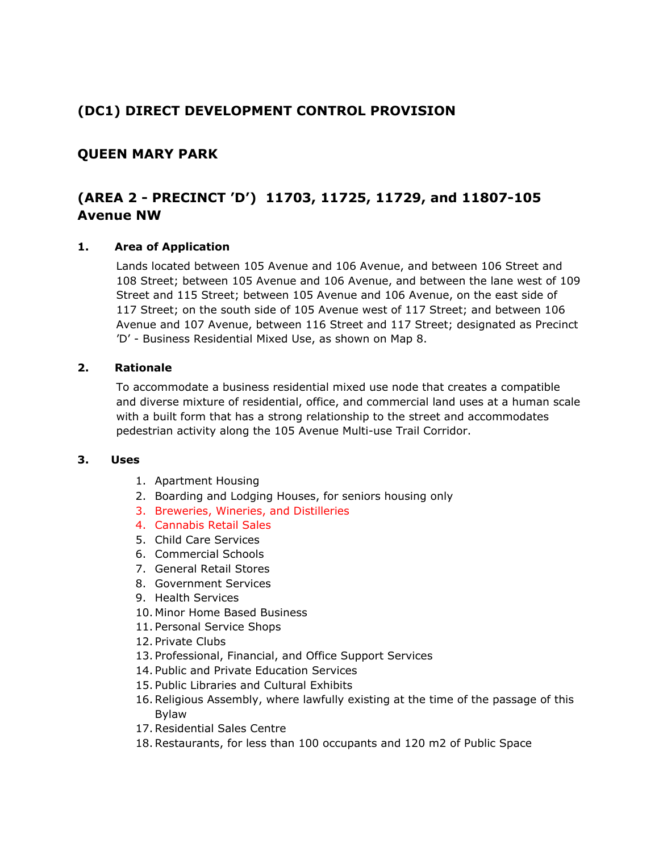# **(DC1) DIRECT DEVELOPMENT CONTROL PROVISION**

## **QUEEN MARY PARK**

# **(AREA 2 - PRECINCT 'D') 11703, 11725, 11729, and 11807-105 Avenue NW**

#### **1. Area of Application**

Lands located between 105 Avenue and 106 Avenue, and between 106 Street and 108 Street; between 105 Avenue and 106 Avenue, and between the lane west of 109 Street and 115 Street; between 105 Avenue and 106 Avenue, on the east side of 117 Street; on the south side of 105 Avenue west of 117 Street; and between 106 Avenue and 107 Avenue, between 116 Street and 117 Street; designated as Precinct 'D' - Business Residential Mixed Use, as shown on Map 8.

#### **2. Rationale**

To accommodate a business residential mixed use node that creates a compatible and diverse mixture of residential, office, and commercial land uses at a human scale with a built form that has a strong relationship to the street and accommodates pedestrian activity along the 105 Avenue Multi-use Trail Corridor.

#### **3. Uses**

- 1. Apartment Housing
- 2. Boarding and Lodging Houses, for seniors housing only
- 3. Breweries, Wineries, and Distilleries
- 4. Cannabis Retail Sales
- 5. Child Care Services
- 6. Commercial Schools
- 7. General Retail Stores
- 8. Government Services
- 9. Health Services
- 10. Minor Home Based Business
- 11. Personal Service Shops
- 12. Private Clubs
- 13. Professional, Financial, and Office Support Services
- 14. Public and Private Education Services
- 15. Public Libraries and Cultural Exhibits
- 16.Religious Assembly, where lawfully existing at the time of the passage of this Bylaw
- 17.Residential Sales Centre
- 18.Restaurants, for less than 100 occupants and 120 m2 of Public Space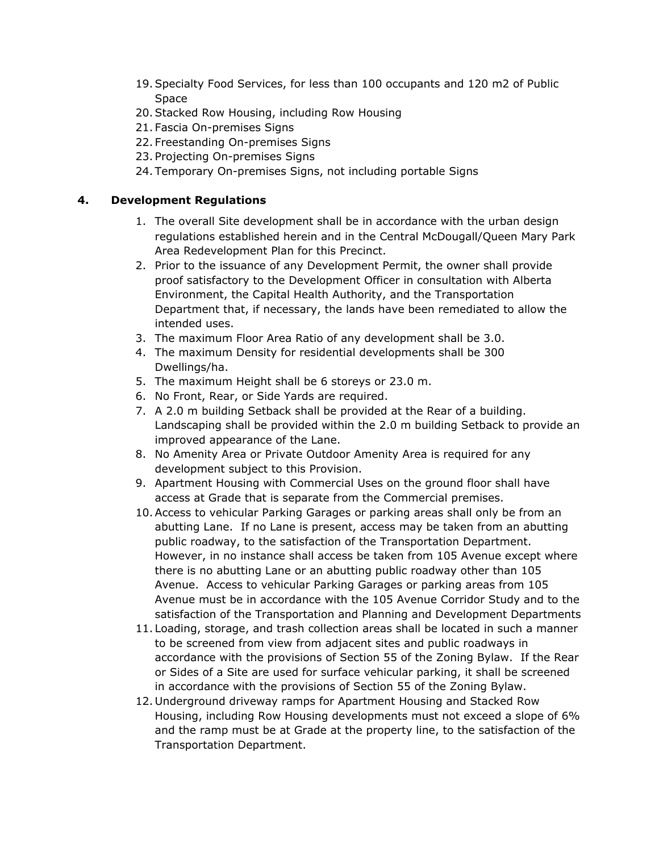- 19.Specialty Food Services, for less than 100 occupants and 120 m2 of Public Space
- 20.Stacked Row Housing, including Row Housing
- 21. Fascia On-premises Signs
- 22. Freestanding On-premises Signs
- 23. Projecting On-premises Signs
- 24. Temporary On-premises Signs, not including portable Signs

### **4. Development Regulations**

- 1. The overall Site development shall be in accordance with the urban design regulations established herein and in the Central McDougall/Queen Mary Park Area Redevelopment Plan for this Precinct.
- 2. Prior to the issuance of any Development Permit, the owner shall provide proof satisfactory to the Development Officer in consultation with Alberta Environment, the Capital Health Authority, and the Transportation Department that, if necessary, the lands have been remediated to allow the intended uses.
- 3. The maximum Floor Area Ratio of any development shall be 3.0.
- 4. The maximum Density for residential developments shall be 300 Dwellings/ha.
- 5. The maximum Height shall be 6 storeys or 23.0 m.
- 6. No Front, Rear, or Side Yards are required.
- 7. A 2.0 m building Setback shall be provided at the Rear of a building. Landscaping shall be provided within the 2.0 m building Setback to provide an improved appearance of the Lane.
- 8. No Amenity Area or Private Outdoor Amenity Area is required for any development subject to this Provision.
- 9. Apartment Housing with Commercial Uses on the ground floor shall have access at Grade that is separate from the Commercial premises.
- 10.Access to vehicular Parking Garages or parking areas shall only be from an abutting Lane. If no Lane is present, access may be taken from an abutting public roadway, to the satisfaction of the Transportation Department. However, in no instance shall access be taken from 105 Avenue except where there is no abutting Lane or an abutting public roadway other than 105 Avenue. Access to vehicular Parking Garages or parking areas from 105 Avenue must be in accordance with the 105 Avenue Corridor Study and to the satisfaction of the Transportation and Planning and Development Departments
- 11. Loading, storage, and trash collection areas shall be located in such a manner to be screened from view from adjacent sites and public roadways in accordance with the provisions of Section 55 of the Zoning Bylaw. If the Rear or Sides of a Site are used for surface vehicular parking, it shall be screened in accordance with the provisions of Section 55 of the Zoning Bylaw.
- 12. Underground driveway ramps for Apartment Housing and Stacked Row Housing, including Row Housing developments must not exceed a slope of 6% and the ramp must be at Grade at the property line, to the satisfaction of the Transportation Department.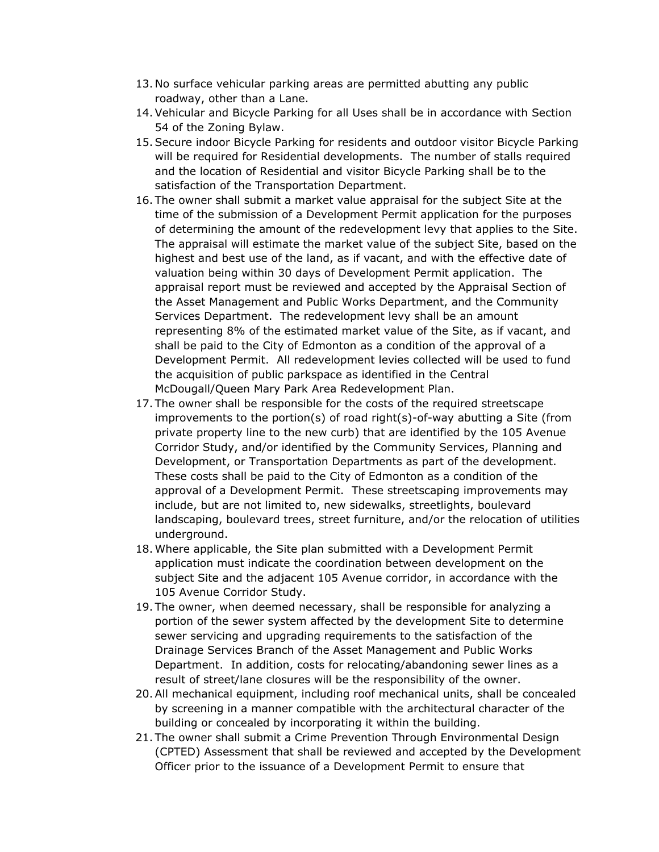- 13. No surface vehicular parking areas are permitted abutting any public roadway, other than a Lane.
- 14.Vehicular and Bicycle Parking for all Uses shall be in accordance with Section 54 of the Zoning Bylaw.
- 15.Secure indoor Bicycle Parking for residents and outdoor visitor Bicycle Parking will be required for Residential developments. The number of stalls required and the location of Residential and visitor Bicycle Parking shall be to the satisfaction of the Transportation Department.
- 16. The owner shall submit a market value appraisal for the subject Site at the time of the submission of a Development Permit application for the purposes of determining the amount of the redevelopment levy that applies to the Site. The appraisal will estimate the market value of the subject Site, based on the highest and best use of the land, as if vacant, and with the effective date of valuation being within 30 days of Development Permit application. The appraisal report must be reviewed and accepted by the Appraisal Section of the Asset Management and Public Works Department, and the Community Services Department. The redevelopment levy shall be an amount representing 8% of the estimated market value of the Site, as if vacant, and shall be paid to the City of Edmonton as a condition of the approval of a Development Permit. All redevelopment levies collected will be used to fund the acquisition of public parkspace as identified in the Central McDougall/Queen Mary Park Area Redevelopment Plan.
- 17. The owner shall be responsible for the costs of the required streetscape improvements to the portion(s) of road right(s)-of-way abutting a Site (from private property line to the new curb) that are identified by the 105 Avenue Corridor Study, and/or identified by the Community Services, Planning and Development, or Transportation Departments as part of the development. These costs shall be paid to the City of Edmonton as a condition of the approval of a Development Permit. These streetscaping improvements may include, but are not limited to, new sidewalks, streetlights, boulevard landscaping, boulevard trees, street furniture, and/or the relocation of utilities underground.
- 18. Where applicable, the Site plan submitted with a Development Permit application must indicate the coordination between development on the subject Site and the adjacent 105 Avenue corridor, in accordance with the 105 Avenue Corridor Study.
- 19. The owner, when deemed necessary, shall be responsible for analyzing a portion of the sewer system affected by the development Site to determine sewer servicing and upgrading requirements to the satisfaction of the Drainage Services Branch of the Asset Management and Public Works Department. In addition, costs for relocating/abandoning sewer lines as a result of street/lane closures will be the responsibility of the owner.
- 20.All mechanical equipment, including roof mechanical units, shall be concealed by screening in a manner compatible with the architectural character of the building or concealed by incorporating it within the building.
- 21. The owner shall submit a Crime Prevention Through Environmental Design (CPTED) Assessment that shall be reviewed and accepted by the Development Officer prior to the issuance of a Development Permit to ensure that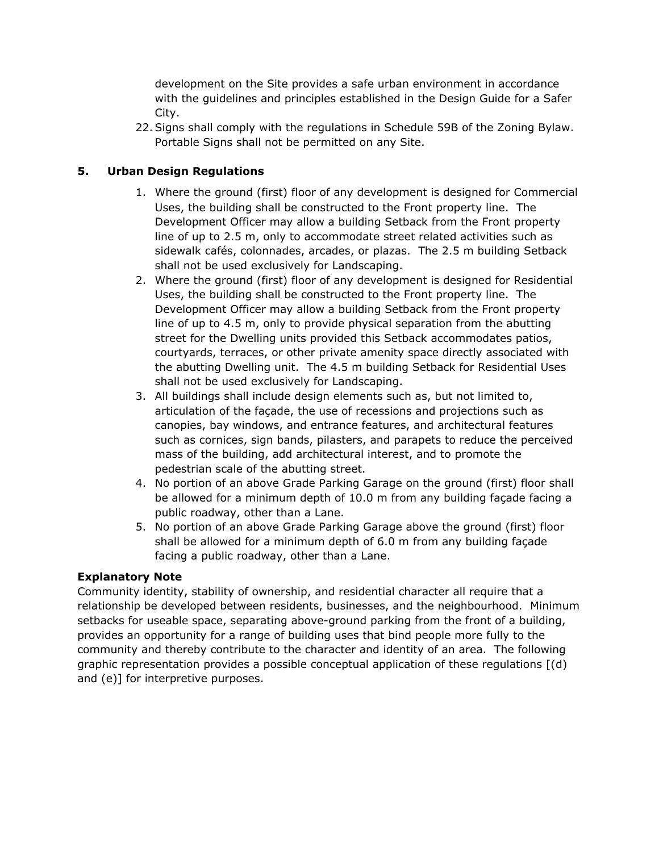development on the Site provides a safe urban environment in accordance with the guidelines and principles established in the Design Guide for a Safer City.

22.Signs shall comply with the regulations in Schedule 59B of the Zoning Bylaw. Portable Signs shall not be permitted on any Site.

## **5. Urban Design Regulations**

- 1. Where the ground (first) floor of any development is designed for Commercial Uses, the building shall be constructed to the Front property line. The Development Officer may allow a building Setback from the Front property line of up to 2.5 m, only to accommodate street related activities such as sidewalk cafés, colonnades, arcades, or plazas. The 2.5 m building Setback shall not be used exclusively for Landscaping.
- 2. Where the ground (first) floor of any development is designed for Residential Uses, the building shall be constructed to the Front property line. The Development Officer may allow a building Setback from the Front property line of up to 4.5 m, only to provide physical separation from the abutting street for the Dwelling units provided this Setback accommodates patios, courtyards, terraces, or other private amenity space directly associated with the abutting Dwelling unit. The 4.5 m building Setback for Residential Uses shall not be used exclusively for Landscaping.
- 3. All buildings shall include design elements such as, but not limited to, articulation of the façade, the use of recessions and projections such as canopies, bay windows, and entrance features, and architectural features such as cornices, sign bands, pilasters, and parapets to reduce the perceived mass of the building, add architectural interest, and to promote the pedestrian scale of the abutting street.
- 4. No portion of an above Grade Parking Garage on the ground (first) floor shall be allowed for a minimum depth of 10.0 m from any building façade facing a public roadway, other than a Lane.
- 5. No portion of an above Grade Parking Garage above the ground (first) floor shall be allowed for a minimum depth of 6.0 m from any building façade facing a public roadway, other than a Lane.

### **Explanatory Note**

Community identity, stability of ownership, and residential character all require that a relationship be developed between residents, businesses, and the neighbourhood. Minimum setbacks for useable space, separating above-ground parking from the front of a building, provides an opportunity for a range of building uses that bind people more fully to the community and thereby contribute to the character and identity of an area. The following graphic representation provides a possible conceptual application of these regulations [(d) and (e)] for interpretive purposes.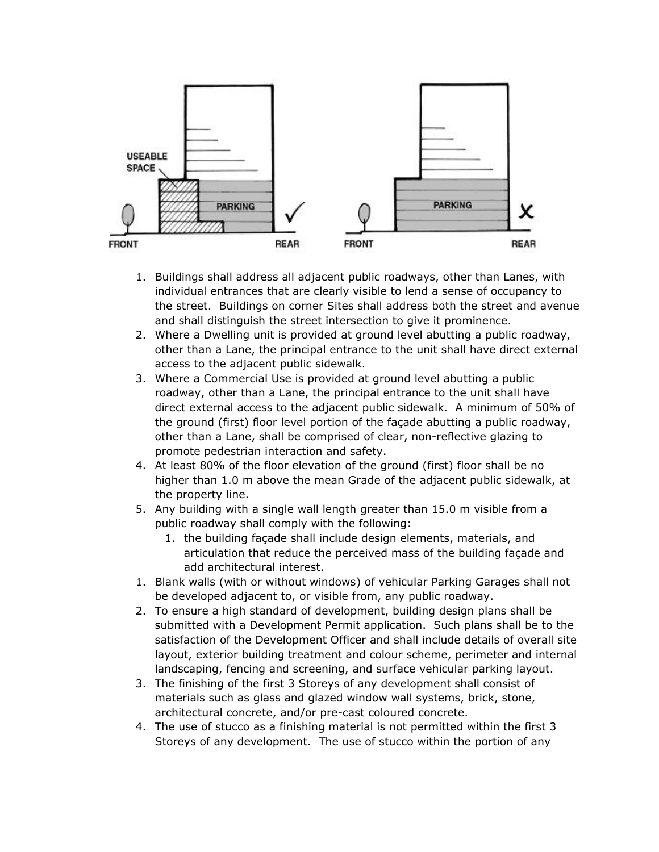

- 1. Buildings shall address all adjacent public roadways, other than Lanes, with individual entrances that are clearly visible to lend a sense of occupancy to the street. Buildings on corner Sites shall address both the street and avenue and shall distinguish the street intersection to give it prominence.
- 2. Where a Dwelling unit is provided at ground level abutting a public roadway, other than a Lane, the principal entrance to the unit shall have direct external access to the adjacent public sidewalk.
- 3. Where a Commercial Use is provided at ground level abutting a public roadway, other than a Lane, the principal entrance to the unit shall have direct external access to the adjacent public sidewalk. A minimum of 50% of the ground (first) floor level portion of the façade abutting a public roadway, other than a Lane, shall be comprised of clear, non-reflective glazing to promote pedestrian interaction and safety.
- 4. At least 80% of the floor elevation of the ground (first) floor shall be no higher than 1.0 m above the mean Grade of the adjacent public sidewalk, at the property line.
- 5. Any building with a single wall length greater than 15.0 m visible from a public roadway shall comply with the following:
	- 1. the building façade shall include design elements, materials, and articulation that reduce the perceived mass of the building façade and add architectural interest.
- 1. Blank walls (with or without windows) of vehicular Parking Garages shall not be developed adjacent to, or visible from, any public roadway.
- 2. To ensure a high standard of development, building design plans shall be submitted with a Development Permit application. Such plans shall be to the satisfaction of the Development Officer and shall include details of overall site layout, exterior building treatment and colour scheme, perimeter and internal landscaping, fencing and screening, and surface vehicular parking layout.
- 3. The finishing of the first 3 Storeys of any development shall consist of materials such as glass and glazed window wall systems, brick, stone, architectural concrete, and/or pre-cast coloured concrete.
- 4. The use of stucco as a finishing material is not permitted within the first 3 Storeys of any development. The use of stucco within the portion of any